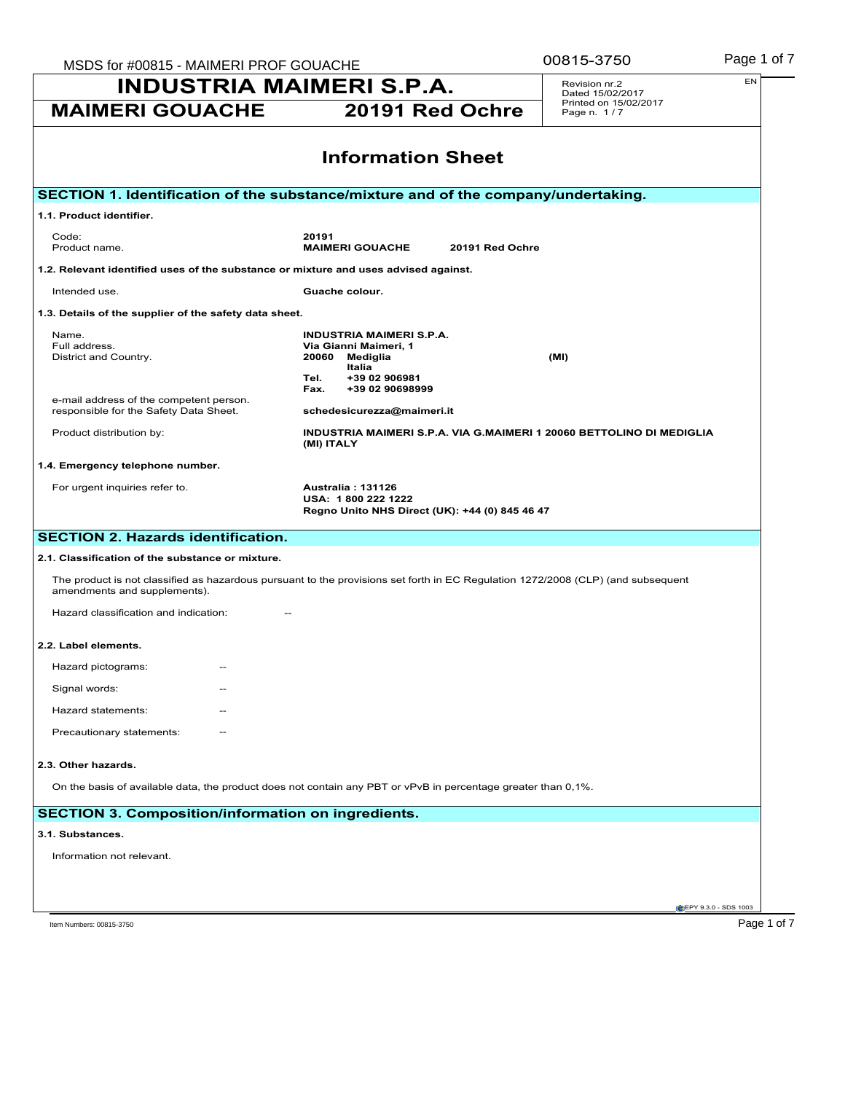| MSDS for #00815 - MAIMERI PROF GOUACHE                                                                                                                           |                                                                                                                                             | 00815-3750                        | Page 1 of 7                          |                      |
|------------------------------------------------------------------------------------------------------------------------------------------------------------------|---------------------------------------------------------------------------------------------------------------------------------------------|-----------------------------------|--------------------------------------|----------------------|
| <b>INDUSTRIA MAIMERI S.P.A.</b>                                                                                                                                  |                                                                                                                                             | Revision nr.2<br>Dated 15/02/2017 | EN                                   |                      |
| <b>MAIMERI GOUACHE</b>                                                                                                                                           | 20191 Red Ochre                                                                                                                             |                                   | Printed on 15/02/2017<br>Page n. 1/7 |                      |
|                                                                                                                                                                  | <b>Information Sheet</b>                                                                                                                    |                                   |                                      |                      |
| SECTION 1. Identification of the substance/mixture and of the company/undertaking.                                                                               |                                                                                                                                             |                                   |                                      |                      |
| 1.1. Product identifier.                                                                                                                                         |                                                                                                                                             |                                   |                                      |                      |
| Code:<br>Product name.                                                                                                                                           | 20191<br><b>MAIMERI GOUACHE</b>                                                                                                             | 20191 Red Ochre                   |                                      |                      |
| 1.2. Relevant identified uses of the substance or mixture and uses advised against.                                                                              |                                                                                                                                             |                                   |                                      |                      |
| Intended use.                                                                                                                                                    | Guache colour.                                                                                                                              |                                   |                                      |                      |
| 1.3. Details of the supplier of the safety data sheet.                                                                                                           |                                                                                                                                             |                                   |                                      |                      |
| Name.<br>Full address.<br>District and Country.<br>e-mail address of the competent person.                                                                       | <b>INDUSTRIA MAIMERI S.P.A.</b><br>Via Gianni Maimeri, 1<br>20060<br>Mediglia<br>Italia<br>+39 02 906981<br>Tel.<br>Fax.<br>+39 02 90698999 |                                   | (MI)                                 |                      |
| responsible for the Safety Data Sheet.                                                                                                                           | schedesicurezza@maimeri.it                                                                                                                  |                                   |                                      |                      |
| Product distribution by:                                                                                                                                         | INDUSTRIA MAIMERI S.P.A. VIA G.MAIMERI 1 20060 BETTOLINO DI MEDIGLIA<br>(MI) ITALY                                                          |                                   |                                      |                      |
| 1.4. Emergency telephone number.                                                                                                                                 |                                                                                                                                             |                                   |                                      |                      |
| For urgent inquiries refer to.                                                                                                                                   | Australia: 131126<br>USA: 1800 222 1222<br>Regno Unito NHS Direct (UK): +44 (0) 845 46 47                                                   |                                   |                                      |                      |
| <b>SECTION 2. Hazards identification.</b>                                                                                                                        |                                                                                                                                             |                                   |                                      |                      |
| 2.1. Classification of the substance or mixture.                                                                                                                 |                                                                                                                                             |                                   |                                      |                      |
| The product is not classified as hazardous pursuant to the provisions set forth in EC Regulation 1272/2008 (CLP) (and subsequent<br>amendments and supplements). |                                                                                                                                             |                                   |                                      |                      |
| Hazard classification and indication:                                                                                                                            |                                                                                                                                             |                                   |                                      |                      |
| 2.2. Label elements.                                                                                                                                             |                                                                                                                                             |                                   |                                      |                      |
| Hazard pictograms:<br>$\overline{\phantom{m}}$                                                                                                                   |                                                                                                                                             |                                   |                                      |                      |
| Signal words:                                                                                                                                                    |                                                                                                                                             |                                   |                                      |                      |
| Hazard statements:                                                                                                                                               |                                                                                                                                             |                                   |                                      |                      |
| Precautionary statements:                                                                                                                                        |                                                                                                                                             |                                   |                                      |                      |
| 2.3. Other hazards.                                                                                                                                              |                                                                                                                                             |                                   |                                      |                      |
| On the basis of available data, the product does not contain any PBT or vPvB in percentage greater than 0,1%.                                                    |                                                                                                                                             |                                   |                                      |                      |
| <b>SECTION 3. Composition/information on ingredients.</b>                                                                                                        |                                                                                                                                             |                                   |                                      |                      |
| 3.1. Substances.                                                                                                                                                 |                                                                                                                                             |                                   |                                      |                      |
| Information not relevant.                                                                                                                                        |                                                                                                                                             |                                   |                                      |                      |
|                                                                                                                                                                  |                                                                                                                                             |                                   |                                      |                      |
|                                                                                                                                                                  |                                                                                                                                             |                                   |                                      | EPY 9.3.0 - SDS 1003 |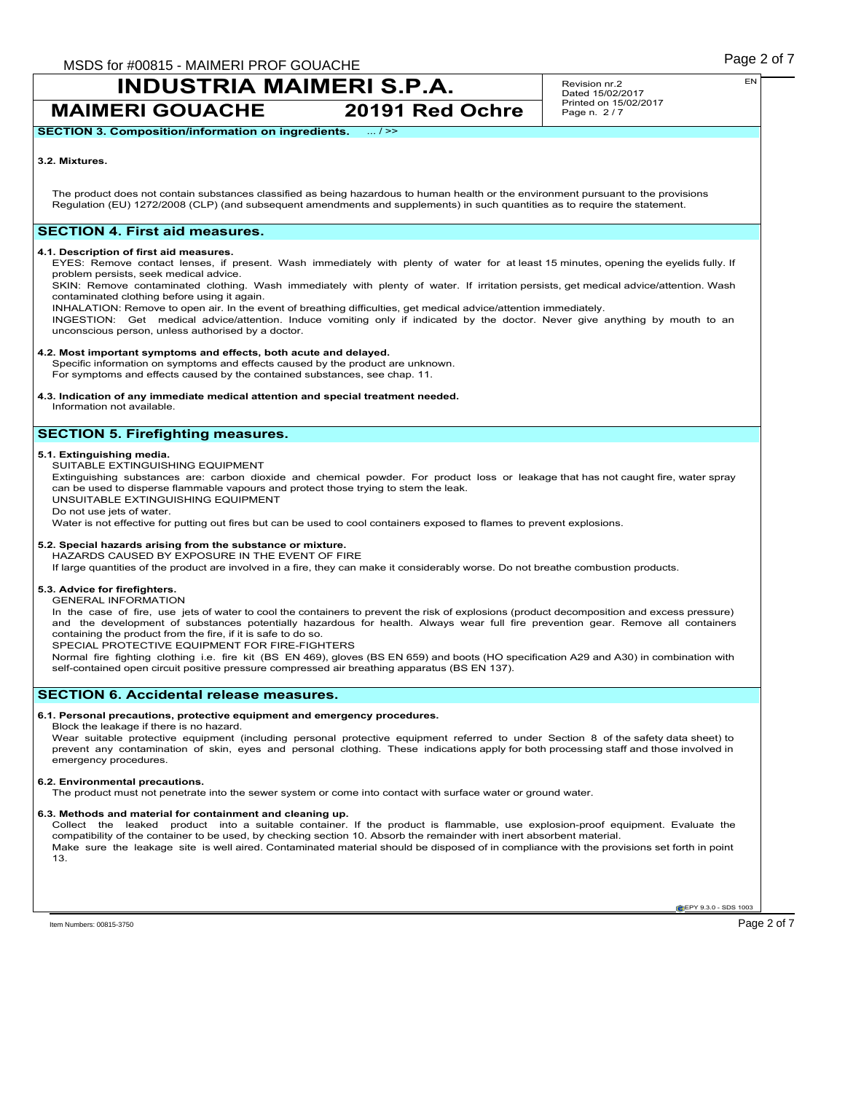# **INDUSTRIA MAIMERI S.P.A.**

**MAIMERI GOUACHE 20191 Red Ochre**

Revision nr.2 Dated 15/02/2017 Printed on 15/02/2017 Page n. 2 / 7

**SECTION 3. Composition/information on ingredients.** ... / >>

#### **3.2. Mixtures.**

The product does not contain substances classified as being hazardous to human health or the environment pursuant to the provisions Regulation (EU) 1272/2008 (CLP) (and subsequent amendments and supplements) in such quantities as to require the statement.

# **SECTION 4. First aid measures.**

### **4.1. Description of first aid measures.**

EYES: Remove contact lenses, if present. Wash immediately with plenty of water for at least 15 minutes, opening the eyelids fully. If problem persists, seek medical advice.

SKIN: Remove contaminated clothing. Wash immediately with plenty of water. If irritation persists, get medical advice/attention. Wash contaminated clothing before using it again.

INHALATION: Remove to open air. In the event of breathing difficulties, get medical advice/attention immediately.

INGESTION: Get medical advice/attention. Induce vomiting only if indicated by the doctor. Never give anything by mouth to an unconscious person, unless authorised by a doctor.

#### **4.2. Most important symptoms and effects, both acute and delayed.**

Specific information on symptoms and effects caused by the product are unknown. For symptoms and effects caused by the contained substances, see chap. 11.

**4.3. Indication of any immediate medical attention and special treatment needed.** Information not available.

# **SECTION 5. Firefighting measures.**

#### **5.1. Extinguishing media.**

SUITABLE EXTINGUISHING EQUIPMENT

Extinguishing substances are: carbon dioxide and chemical powder. For product loss or leakage that has not caught fire, water spray can be used to disperse flammable vapours and protect those trying to stem the leak.

UNSUITABLE EXTINGUISHING EQUIPMENT

Do not use jets of water.

Water is not effective for putting out fires but can be used to cool containers exposed to flames to prevent explosions.

#### **5.2. Special hazards arising from the substance or mixture.** HAZARDS CAUSED BY EXPOSURE IN THE EVENT OF FIRE

If large quantities of the product are involved in a fire, they can make it considerably worse. Do not breathe combustion products.

#### **5.3. Advice for firefighters.**

#### GENERAL INFORMATION

In the case of fire, use jets of water to cool the containers to prevent the risk of explosions (product decomposition and excess pressure) and the development of substances potentially hazardous for health. Always wear full fire prevention gear. Remove all containers containing the product from the fire, if it is safe to do so.

SPECIAL PROTECTIVE EQUIPMENT FOR FIRE-FIGHTERS

Normal fire fighting clothing i.e. fire kit (BS EN 469), gloves (BS EN 659) and boots (HO specification A29 and A30) in combination with<br>self-contained open circuit positive pressure compressed air breathing apparatus (BS

#### **SECTION 6. Accidental release measures.**

### **6.1. Personal precautions, protective equipment and emergency procedures.**

Block the leakage if there is no hazard.

Wear suitable protective equipment (including personal protective equipment referred to under Section 8 of the safety data sheet) to prevent any contamination of skin, eyes and personal clothing. These indications apply for both processing staff and those involved in emergency procedures.

#### **6.2. Environmental precautions.**

The product must not penetrate into the sewer system or come into contact with surface water or ground water.

#### **6.3. Methods and material for containment and cleaning up.**

Collect the leaked product into a suitable container. If the product is flammable, use explosion-proof equipment. Evaluate the compatibility of the container to be used, by checking section 10. Absorb the remainder with inert absorbent material. Make sure the leakage site is well aired. Contaminated material should be disposed of in compliance with the provisions set forth in point 13.

**EPY 9.3.0 - SDS 1003**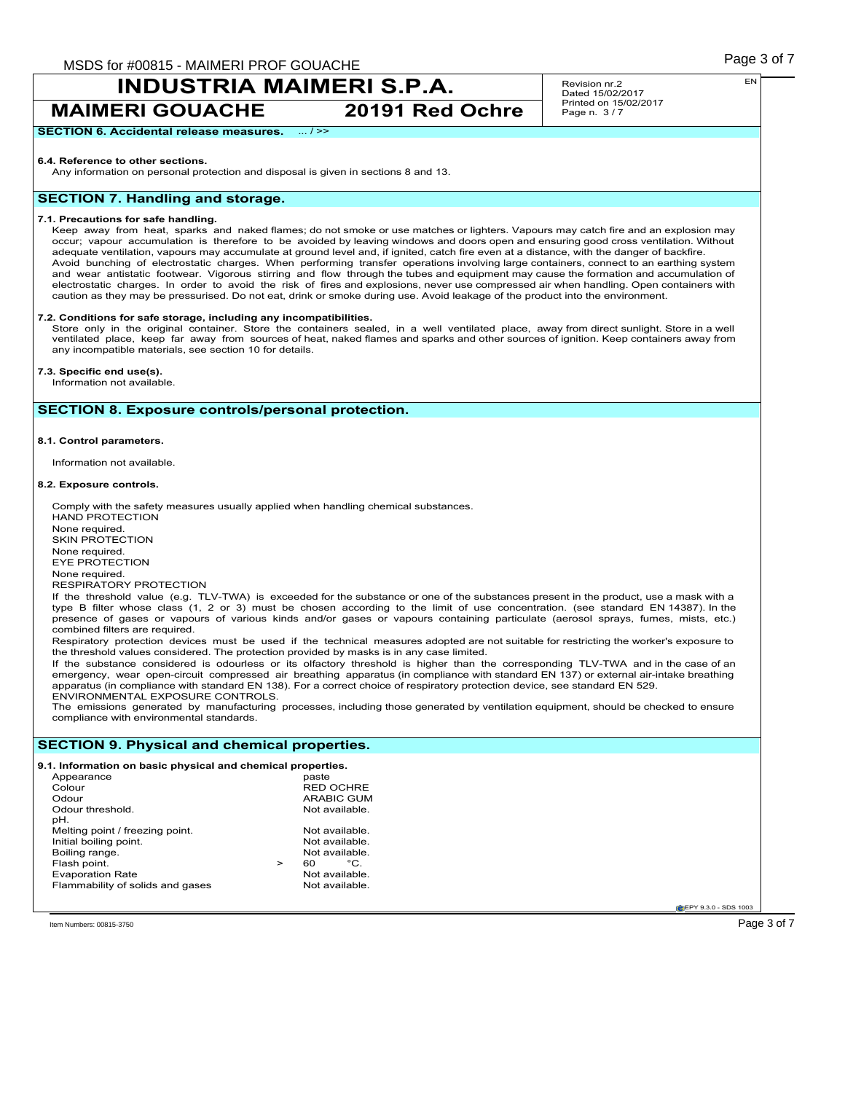# **INDUSTRIA MAIMERI S.P.A.**

**MAIMERI GOUACHE 20191 Red Ochre**

Revision nr.2 Dated 15/02/2017 Printed on 15/02/2017 Page n. 3 / 7

**SECTION 6. Accidental release measures.** ... / >>

#### **6.4. Reference to other sections.**

Any information on personal protection and disposal is given in sections 8 and 13.

# **SECTION 7. Handling and storage.**

#### **7.1. Precautions for safe handling.**

Keep away from heat, sparks and naked flames; do not smoke or use matches or lighters. Vapours may catch fire and an explosion may occur; vapour accumulation is therefore to be avoided by leaving windows and doors open and ensuring good cross ventilation. Without adequate ventilation, vapours may accumulate at ground level and, if ignited, catch fire even at a distance, with the danger of backfire. Avoid bunching of electrostatic charges. When performing transfer operations involving large containers, connect to an earthing system and wear antistatic footwear. Vigorous stirring and flow through the tubes and equipment may cause the formation and accumulation of electrostatic charges. In order to avoid the risk of fires and explosions, never use compressed air when handling. Open containers with caution as they may be pressurised. Do not eat, drink or smoke during use. Avoid leakage of the product into the environment.

#### **7.2. Conditions for safe storage, including any incompatibilities.**

Store only in the original container. Store the containers sealed, in a well ventilated place, away from direct sunlight. Store in a well ventilated place, keep far away from sources of heat, naked flames and sparks and other sources of ignition. Keep containers away from any incompatible materials, see section 10 for details.

### **7.3. Specific end use(s).**

Information not available.

## **SECTION 8. Exposure controls/personal protection.**

#### **8.1. Control parameters.**

Information not available.

#### **8.2. Exposure controls.**

Comply with the safety measures usually applied when handling chemical substances. HAND PROTECTION None required. SKIN PROTECTION None required. EYE PROTECTION None required. RESPIRATORY PROTECTION If the threshold value (e.g. TLV-TWA) is exceeded for the substance or one of the substances present in the product, use a mask with a

type B filter whose class (1, 2 or 3) must be chosen according to the limit of use concentration. (see standard EN 14387). In the presence of gases or vapours of various kinds and/or gases or vapours containing particulate (aerosol sprays, fumes, mists, etc.) combined filters are required.

Respiratory protection devices must be used if the technical measures adopted are not suitable for restricting the worker's exposure to the threshold values considered. The protection provided by masks is in any case limited.

If the substance considered is odourless or its olfactory threshold is higher than the corresponding TLV-TWA and in the case of an emergency, wear open-circuit compressed air breathing apparatus (in compliance with standard EN 137) or external air-intake breathing apparatus (in compliance with standard EN 138). For a correct choice of respiratory protection device, see standard EN 529. ENVIRONMENTAL EXPOSURE CONTROLS.

The emissions generated by manufacturing processes, including those generated by ventilation equipment, should be checked to ensure compliance with environmental standards.

### **SECTION 9. Physical and chemical properties.**

**9.1. Information on basic physical and chemical properties.** Appearance<br>Colour السابق المستقلة المستقلة المستقلة المستقلة المستقلة المستقلة المستقلة المستقلة المستقلة المستقلة المستقلة المس<br>المستقلة المستقلة المستقلة المستقلة المستقلة المستقلة المستقلة المستقلة المستقلة المستقلة المستقلة المستقلة ال ARABIC GUM<br>Not available Odour threshold. pH. Melting point / freezing point. Not available.<br>
Initial boiling point. Not available. Initial boiling point.<br>Boiling range. Not available.<br>60  $\degree$ C. Flash point. > 60 °C. Evaporation Rate<br>
Flammability of solids and gases<br>
Not available. Flammability of solids and gases

**EPY 9.3.0 - SDS 1003** 

Item Numbers: 00815-3750  $\sim$  Page 3 of 7  $\sim$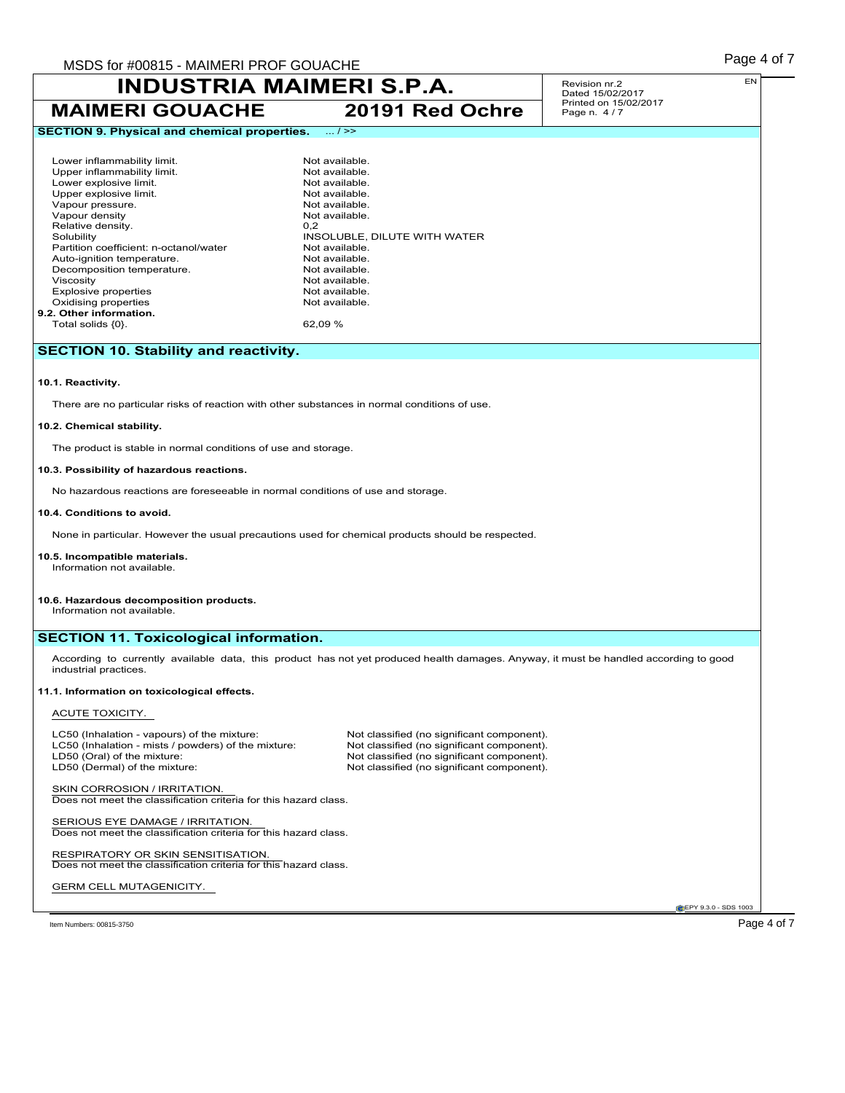#### **INDUSTRIA MAIMERI S.P.A. MAIMERI GOUACHE 20191 Red Ochre** Revision nr.2 Dated 15/02/2017 Printed on 15/02/2017 Page n. 4 / 7 EN **SECTION 9. Physical and chemical properties.** ... / >> Lower inflammability limit.<br>
Upper inflammability limit.<br>
Not available. Upper inflammability limit.<br>
Lower explosive limit.<br>
Not available. Lower explosive limit. <br>
Upper explosive limit. Not available. Upper explosive limit. Not available.<br>
Vapour pressure. Not available. Vapour pressure.<br>
Vapour density<br>
Vapour density Vapour density Not available to the Not available to Not available.<br>
Relative density. 0,2 Relative density.<br>Solubility INSOLUBLE, DILUTE WITH WATER<br>Not available. Partition coefficient: n-octanol/water Not available.<br>Auto-ignition temperature. Not available. Auto-ignition temperature.<br>
Decomposition temperature. Not available. Decomposition temperature.<br>Viscosity Not available.<br>Not available. Explosive properties and the settlement of the Not available.<br>
Oxidising properties and the Not available. Oxidising properties **9.2. Other information.** Total solids {0}. 62,09 % **SECTION 10. Stability and reactivity. 10.1. Reactivity.**

# There are no particular risks of reaction with other substances in normal conditions of use.

#### **10.2. Chemical stability.**

The product is stable in normal conditions of use and storage.

#### **10.3. Possibility of hazardous reactions.**

No hazardous reactions are foreseeable in normal conditions of use and storage.

#### **10.4. Conditions to avoid.**

None in particular. However the usual precautions used for chemical products should be respected.

#### **10.5. Incompatible materials.**

Information not available.

#### **10.6. Hazardous decomposition products.**

Information not available.

### **SECTION 11. Toxicological information.**

According to currently available data, this product has not yet produced health damages. Anyway, it must be handled according to good industrial practices.

#### **11.1. Information on toxicological effects.**

#### ACUTE TOXICITY.

LC50 (Inhalation - vapours) of the mixture: Not classified (no significant component).<br>
LC50 (Inhalation - mists / powders) of the mixture: Not classified (no significant component). LC50 (Inhalation - mists / powders) of the mixture:<br>LD50 (Oral) of the mixture: LD50 (Oral) of the mixture: Not classified (no significant component).<br>
LD50 (Dermal) of the mixture: Not classified (no significant component).

Not classified (no significant component).

SKIN CORROSION / IRRITATION. Does not meet the classification criteria for this hazard class.

SERIOUS EYE DAMAGE / IRRITATION. Does not meet the classification criteria for this hazard class.

RESPIRATORY OR SKIN SENSITISATION. Does not meet the classification criteria for this hazard class.

GERM CELL MUTAGENICITY.

**CEPY 9.3.0 - SDS 1003**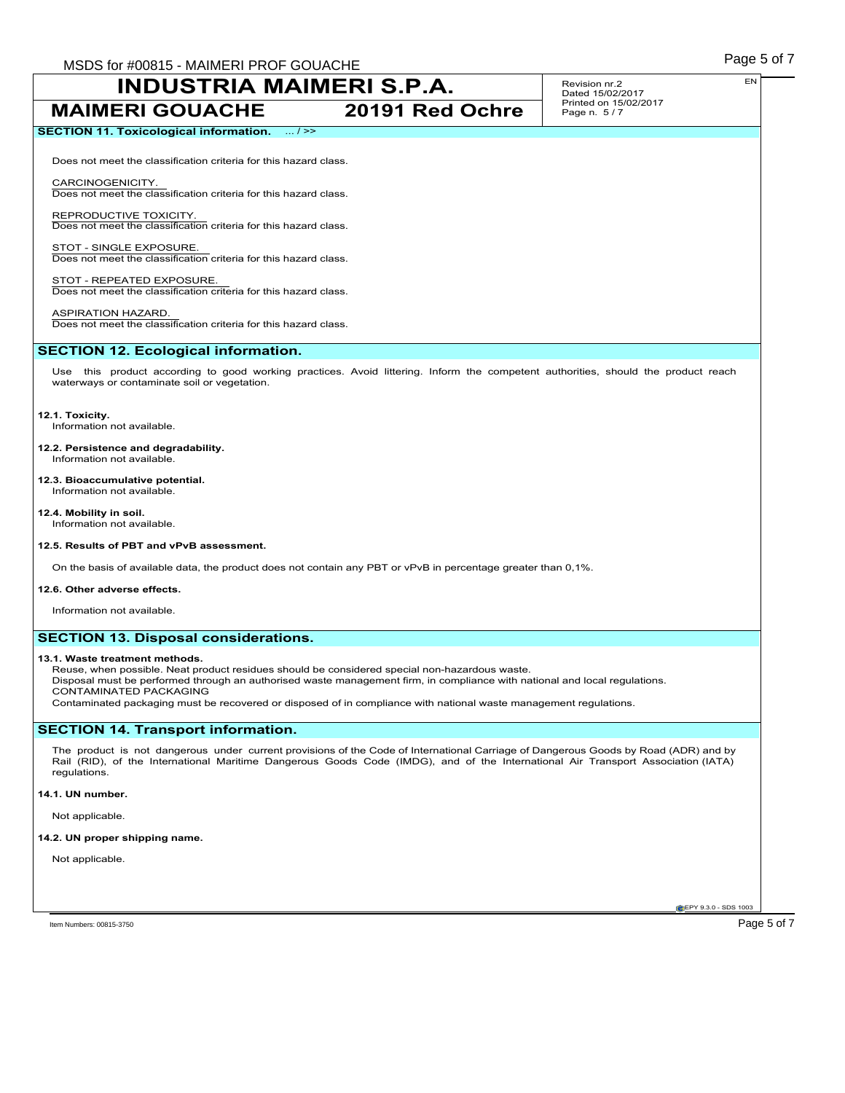# MSDS for #00815 - MAIMERI PROF GOUACHE MACHINE AND STOLEN ASSESSED. The SAME Rage 5 of 7 **INDUSTRIA MAIMERI S.P.A. MAIMERI GOUACHE 20191 Red Ochre** Revision nr.2 Dated 15/02/2017 Printed on 15/02/2017 Page n. 5 / 7 **SECTION 11. Toxicological information.** ... / >> Does not meet the classification criteria for this hazard class. CARCINOGENICITY. Does not meet the classification criteria for this hazard class. REPRODUCTIVE TOXICITY. Does not meet the classification criteria for this hazard class. STOT - SINGLE EXPOSURE Does not meet the classification criteria for this hazard class. STOT - REPEATED EXPOSURE. Does not meet the classification criteria for this hazard class. ASPIRATION HAZARD. Does not meet the classification criteria for this hazard class. **SECTION 12. Ecological information.** Use this product according to good working practices. Avoid littering. Inform the competent authorities, should the product reach waterways or contaminate soil or vegetation. **12.1. Toxicity.** Information not available. **12.2. Persistence and degradability.** Information not available.

**12.3. Bioaccumulative potential.** Information not available.

**12.4. Mobility in soil.** Information not available.

#### **12.5. Results of PBT and vPvB assessment.**

On the basis of available data, the product does not contain any PBT or vPvB in percentage greater than 0,1%.

#### **12.6. Other adverse effects.**

Information not available.

## **SECTION 13. Disposal considerations.**

#### **13.1. Waste treatment methods.**

Reuse, when possible. Neat product residues should be considered special non-hazardous waste.

Disposal must be performed through an authorised waste management firm, in compliance with national and local regulations. CONTAMINATED PACKAGING

Contaminated packaging must be recovered or disposed of in compliance with national waste management regulations.

## **SECTION 14. Transport information.**

The product is not dangerous under current provisions of the Code of International Carriage of Dangerous Goods by Road (ADR) and by Rail (RID), of the International Maritime Dangerous Goods Code (IMDG), and of the International Air Transport Association (IATA) regulations.

#### **14.1. UN number.**

Not applicable.

#### **14.2. UN proper shipping name.**

Not applicable.

**CEPY 9.3.0 - SDS 1003**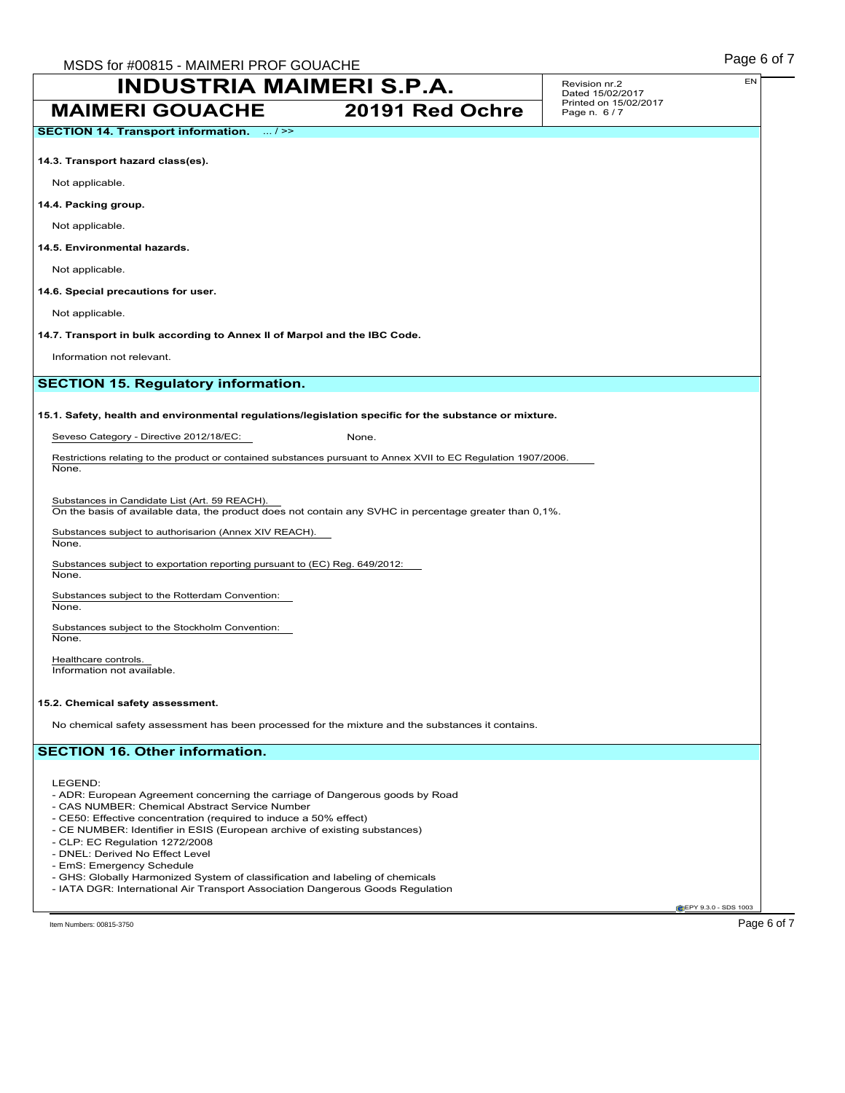| MSDS for #00815 - MAIMERI PROF GOUACHE                                                                                                                                                                         |                 | Revision nr.2                             | EN |
|----------------------------------------------------------------------------------------------------------------------------------------------------------------------------------------------------------------|-----------------|-------------------------------------------|----|
| INDUSTRIA MAIMERI S.P.A.                                                                                                                                                                                       |                 | Dated 15/02/2017<br>Printed on 15/02/2017 |    |
| <b>MAIMERI GOUACHE</b>                                                                                                                                                                                         | 20191 Red Ochre | Page n. 6/7                               |    |
| <b>SECTION 14. Transport information.</b> / >>                                                                                                                                                                 |                 |                                           |    |
| 14.3. Transport hazard class(es).                                                                                                                                                                              |                 |                                           |    |
| Not applicable.                                                                                                                                                                                                |                 |                                           |    |
| 14.4. Packing group.                                                                                                                                                                                           |                 |                                           |    |
| Not applicable.                                                                                                                                                                                                |                 |                                           |    |
| 14.5. Environmental hazards.                                                                                                                                                                                   |                 |                                           |    |
| Not applicable.                                                                                                                                                                                                |                 |                                           |    |
| 14.6. Special precautions for user.                                                                                                                                                                            |                 |                                           |    |
| Not applicable.                                                                                                                                                                                                |                 |                                           |    |
| 14.7. Transport in bulk according to Annex II of Marpol and the IBC Code.                                                                                                                                      |                 |                                           |    |
| Information not relevant.                                                                                                                                                                                      |                 |                                           |    |
| <b>SECTION 15. Regulatory information.</b>                                                                                                                                                                     |                 |                                           |    |
| Restrictions relating to the product or contained substances pursuant to Annex XVII to EC Regulation 1907/2006.<br>None.                                                                                       |                 |                                           |    |
| Substances in Candidate List (Art. 59 REACH).<br>On the basis of available data, the product does not contain any SVHC in percentage greater than 0,1%.                                                        |                 |                                           |    |
| Substances subject to authorisarion (Annex XIV REACH).<br>None.                                                                                                                                                |                 |                                           |    |
| Substances subject to exportation reporting pursuant to (EC) Reg. 649/2012:<br>None.                                                                                                                           |                 |                                           |    |
| Substances subject to the Rotterdam Convention:<br>None.                                                                                                                                                       |                 |                                           |    |
| Substances subject to the Stockholm Convention:<br>None.                                                                                                                                                       |                 |                                           |    |
| Healthcare controls.<br>Information not available.                                                                                                                                                             |                 |                                           |    |
| 15.2. Chemical safety assessment.                                                                                                                                                                              |                 |                                           |    |
| No chemical safety assessment has been processed for the mixture and the substances it contains.                                                                                                               |                 |                                           |    |
| <b>SECTION 16. Other information.</b>                                                                                                                                                                          |                 |                                           |    |
| LEGEND:<br>- ADR: European Agreement concerning the carriage of Dangerous goods by Road<br>- CAS NUMBER: Chemical Abstract Service Number<br>- CE50: Effective concentration (required to induce a 50% effect) |                 |                                           |    |

- CE NUMBER: Identifier in ESIS (European archive of existing substances)
- CLP: EC Regulation 1272/2008
- DNEL: Derived No Effect Level
- EmS: Emergency Schedule
- 
- GHS: Globally Harmonized System of classification and labeling of chemicals
- IATA DGR: International Air Transport Association Dangerous Goods Regulation